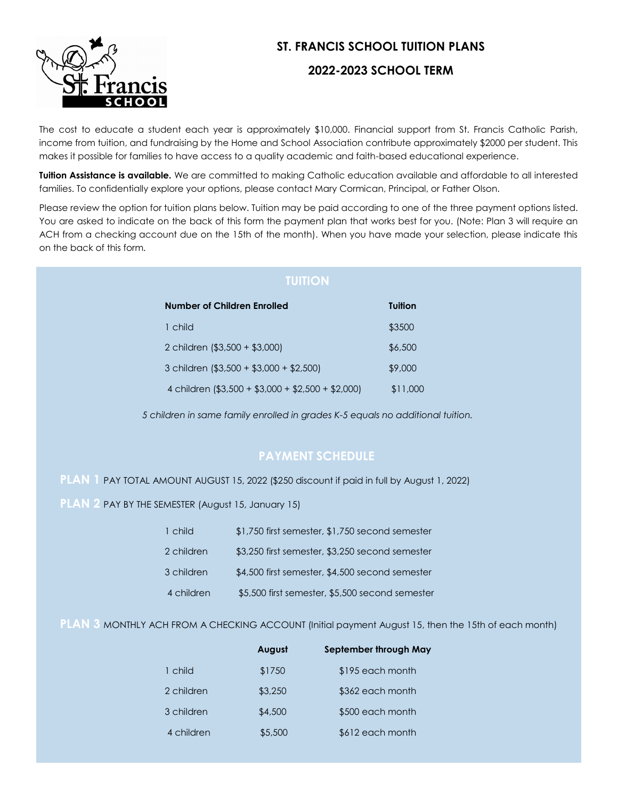

# **ST. FRANCIS SCHOOL TUITION PLANS**

## **2022-2023 SCHOOL TERM**

The cost to educate a student each year is approximately \$10,000. Financial support from St. Francis Catholic Parish, income from tuition, and fundraising by the Home and School Association contribute approximately \$2000 per student. This makes it possible for families to have access to a quality academic and faith-based educational experience.

**Tuition Assistance is available.** We are committed to making Catholic education available and affordable to all interested families. To confidentially explore your options, please contact Mary Cormican, Principal, or Father Olson.

Please review the option for tuition plans below. Tuition may be paid according to one of the three payment options listed. You are asked to indicate on the back of this form the payment plan that works best for you. (Note: Plan 3 will require an ACH from a checking account due on the 15th of the month). When you have made your selection, please indicate this on the back of this form.

| Number of Children Enrolled                        | Tuition  |
|----------------------------------------------------|----------|
| 1 child                                            | \$3500   |
| 2 children (\$3,500 + \$3,000)                     | \$6,500  |
| 3 children (\$3,500 + \$3,000 + \$2,500)           | \$9,000  |
| 4 children (\$3,500 + \$3,000 + \$2,500 + \$2,000) | \$11,000 |

*5 children in same family enrolled in grades K-5 equals no additional tuition.*

# **PAYMENT SCHEDULE**

### **PLAN 1** PAY TOTAL AMOUNT AUGUST 15, 2022 (\$250 discount if paid in full by August 1, 2022)

**PLAN** 2 PAY BY THE SEMESTER (August 15, January 15)

| 1 child    | \$1,750 first semester, \$1,750 second semester |
|------------|-------------------------------------------------|
| 2 children | \$3,250 first semester, \$3,250 second semester |
| 3 children | \$4,500 first semester, \$4,500 second semester |
| 4 children | \$5,500 first semester, \$5,500 second semester |

**PLAN 3** MONTHLY ACH FROM A CHECKING ACCOUNT (Initial payment August 15, then the 15th of each month)

|            | August  | September through May |
|------------|---------|-----------------------|
| 1 child    | \$1750  | \$195 each month      |
| 2 children | \$3,250 | \$362 each month      |
| 3 children | \$4,500 | \$500 each month      |
| 4 children | \$5,500 | \$612 each month      |